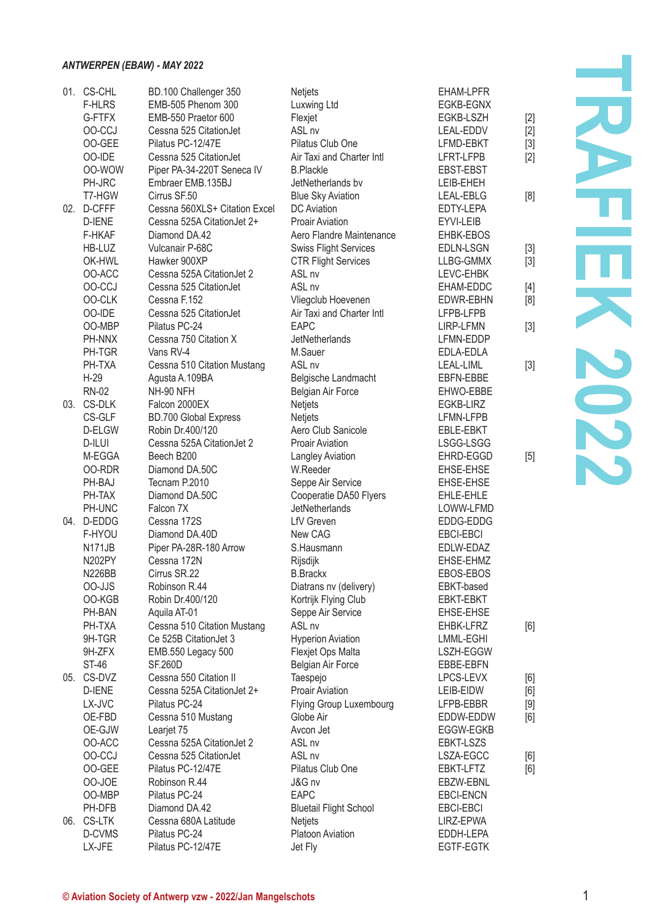## *ANTWERPEN (EBAW) - MAY 2022*

| 01. CS-CHL           | BD.100 Challenger 350                               | Netjets                                  | EHAM-LPFR                            |       |
|----------------------|-----------------------------------------------------|------------------------------------------|--------------------------------------|-------|
| <b>F-HLRS</b>        | EMB-505 Phenom 300                                  | Luxwing Ltd                              | EGKB-EGNX                            |       |
| G-FTFX               | EMB-550 Praetor 600                                 | Flexjet                                  | EGKB-LSZH                            | $[2]$ |
| OO-CCJ               | Cessna 525 CitationJet                              | ASL <sub>nv</sub>                        | LEAL-EDDV                            | [2]   |
| 00-GEE               | Pilatus PC-12/47E                                   | Pilatus Club One                         | LFMD-EBKT                            | $[3]$ |
| OO-IDE               | Cessna 525 CitationJet                              | Air Taxi and Charter Intl                | LFRT-LFPB                            | [2]   |
| OO-WOW               | Piper PA-34-220T Seneca IV                          | <b>B.Plackle</b>                         | EBST-EBST                            |       |
| PH-JRC               | Embraer EMB.135BJ                                   | JetNetherlands bv                        | LEIB-EHEH                            |       |
| T7-HGW               | Cirrus SF.50                                        | <b>Blue Sky Aviation</b>                 | LEAL-EBLG                            | [8]   |
| 02. D-CFFF           | Cessna 560XLS+ Citation Excel                       | DC Aviation                              | EDTY-LEPA                            |       |
| D-IENE               | Cessna 525A CitationJet 2+                          | <b>Proair Aviation</b>                   | EYVI-LEIB                            |       |
| F-HKAF               | Diamond DA.42                                       | Aero Flandre Maintenance                 | EHBK-EBOS                            |       |
| HB-LUZ               | Vulcanair P-68C                                     | <b>Swiss Flight Services</b>             | EDLN-LSGN                            | $[3]$ |
| OK-HWL               | Hawker 900XP                                        | <b>CTR Flight Services</b>               | LLBG-GMMX                            | $[3]$ |
| OO-ACC               | Cessna 525A Citation Jet 2                          | ASL <sub>nv</sub>                        | LEVC-EHBK                            |       |
| OO-CCJ               | Cessna 525 CitationJet                              | ASL nv                                   | EHAM-EDDC                            | [4]   |
| <b>OO-CLK</b>        | Cessna F.152                                        | Vliegclub Hoevenen                       | <b>EDWR-EBHN</b>                     | [8]   |
| OO-IDE               | Cessna 525 CitationJet                              | Air Taxi and Charter Intl                | LFPB-LFPB                            |       |
| OO-MBP               | Pilatus PC-24                                       | <b>FAPC</b>                              | LIRP-LFMN                            | $[3]$ |
| PH-NNX               | Cessna 750 Citation X                               | JetNetherlands                           | LFMN-EDDP                            |       |
| PH-TGR               | Vans RV-4                                           | M.Sauer                                  | EDLA-EDLA                            |       |
| PH-TXA               | Cessna 510 Citation Mustang                         | ASL <sub>nv</sub>                        | LEAL-LIML                            | $[3]$ |
| $H-29$               | Agusta A.109BA                                      | Belgische Landmacht                      | EBFN-EBBE                            |       |
| <b>RN-02</b>         | NH-90 NFH                                           | <b>Belgian Air Force</b>                 | EHWO-EBBE                            |       |
| 03. CS-DLK           | Falcon 2000EX                                       | <b>Netjets</b>                           | EGKB-LIRZ                            |       |
| CS-GLF               | <b>BD.700 Global Express</b>                        | <b>Netjets</b>                           | LFMN-LFPB                            |       |
| D-ELGW               | Robin Dr.400/120                                    | Aero Club Sanicole                       | EBLE-EBKT                            |       |
| D-ILUI               | Cessna 525A CitationJet 2                           | Proair Aviation                          | LSGG-LSGG                            |       |
| M-EGGA               | Beech B200                                          | Langley Aviation                         | EHRD-EGGD                            | $[5]$ |
| 00-RDR               | Diamond DA.50C                                      | W.Reeder                                 | EHSE-EHSE                            |       |
| PH-BAJ               | Tecnam P.2010                                       | Seppe Air Service                        | EHSE-EHSE                            |       |
| PH-TAX               | Diamond DA.50C                                      | Cooperatie DA50 Flyers                   | EHLE-EHLE                            |       |
| PH-UNC               | Falcon 7X                                           | JetNetherlands                           | LOWW-LFMD                            |       |
| 04. D-EDDG           | Cessna 172S                                         | <b>LfV</b> Greven                        | EDDG-EDDG                            |       |
| F-HYOU               | Diamond DA.40D                                      | New CAG                                  | EBCI-EBCI                            |       |
| N171JB               | Piper PA-28R-180 Arrow                              | S.Hausmann                               | EDLW-EDAZ                            |       |
| N202PY               | Cessna 172N                                         | Rijsdijk                                 | EHSE-EHMZ                            |       |
| <b>N226BB</b>        | Cirrus SR.22                                        | <b>B.Brackx</b>                          | EBOS-EBOS                            |       |
| OO-JJS               | Robinson R.44                                       | Diatrans nv (delivery)                   | EBKT-based                           |       |
| OO-KGB               | Robin Dr.400/120                                    | Kortrijk Flying Club                     | EBKT-EBKT                            |       |
| PH-BAN               | Aquila AT-01                                        | Seppe Air Service                        | EHSE-EHSE                            |       |
| PH-TXA               | Cessna 510 Citation Mustang                         | ASL <sub>nv</sub>                        | EHBK-LFRZ                            | [6]   |
| 9H-TGR               | Ce 525B Citation Jet 3                              | <b>Hyperion Aviation</b>                 | LMML-EGHI                            |       |
| 9H-ZFX               | EMB.550 Legacy 500                                  | Flexjet Ops Malta                        | LSZH-EGGW                            |       |
| ST-46                | <b>SF.260D</b>                                      | Belgian Air Force                        | EBBE-EBFN                            |       |
| 05. CS-DVZ           | Cessna 550 Citation II                              | Taespejo                                 | LPCS-LEVX                            | [6]   |
| D-IENE               | Cessna 525A CitationJet 2+                          | Proair Aviation                          | LEIB-EIDW                            | [6]   |
| LX-JVC               | Pilatus PC-24                                       | Flying Group Luxembourg                  | LFPB-EBBR                            | [9]   |
| OE-FBD               | Cessna 510 Mustang                                  | Globe Air                                | EDDW-EDDW                            | [6]   |
| OE-GJW               | Leariet 75                                          | Avcon Jet                                | EGGW-EGKB                            |       |
| OO-ACC<br>OO-CCJ     | Cessna 525A CitationJet 2<br>Cessna 525 CitationJet | ASL <sub>nv</sub><br>ASL <sub>nv</sub>   | <b>EBKT-LSZS</b><br>LSZA-EGCC        |       |
|                      |                                                     |                                          |                                      | [6]   |
| OO-GEE               | Pilatus PC-12/47E                                   | Pilatus Club One                         | EBKT-LFTZ                            | [6]   |
| 00-JOE               | Robinson R.44<br>Pilatus PC-24                      | J&G nv                                   | EBZW-EBNL                            |       |
| OO-MBP               |                                                     | <b>EAPC</b>                              | <b>EBCI-ENCN</b><br><b>EBCI-EBCI</b> |       |
| PH-DFB<br>06. CS-LTK | Diamond DA.42<br>Cessna 680A Latitude               | <b>Bluetail Flight School</b><br>Netjets | LIRZ-EPWA                            |       |
| D-CVMS               | Pilatus PC-24                                       | Platoon Aviation                         | EDDH-LEPA                            |       |
| LX-JFE               | Pilatus PC-12/47E                                   | Jet Fly                                  | <b>EGTF-EGTK</b>                     |       |
|                      |                                                     |                                          |                                      |       |

**TRAFIEK 2022 TRAFIEK 2022**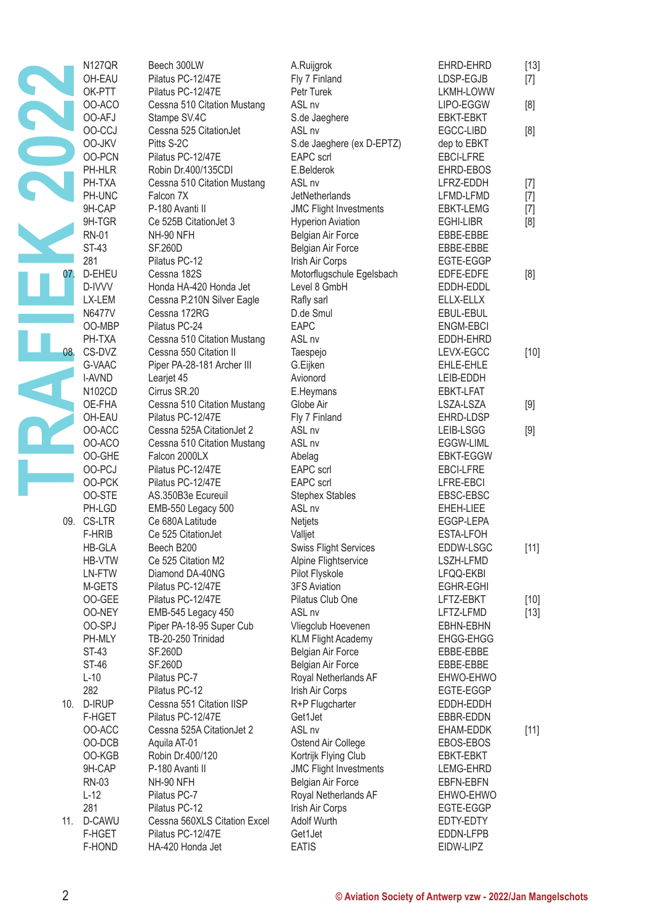|     | <b>N127QR</b><br>OH-EAU | Beech 300LW<br>Pilatus PC-12/47E                   | A.Ruijgrok<br>Fly 7 Finland                               | EHRD-EHRD<br>LDSP-EGJB | $[13]$<br>$[7]$ |
|-----|-------------------------|----------------------------------------------------|-----------------------------------------------------------|------------------------|-----------------|
|     | OK-PTT<br>OO-ACO        | Pilatus PC-12/47E<br>Cessna 510 Citation Mustang   | Petr Turek<br>ASL <sub>nv</sub>                           | LKMH-LOWW<br>LIPO-EGGW | [8]             |
|     | 00-AFJ                  | Stampe SV.4C                                       | S.de Jaeghere                                             | EBKT-EBKT              |                 |
|     | OO-CCJ                  | Cessna 525 CitationJet                             | ASL nv                                                    | EGCC-LIBD              | [8]             |
|     | OO-JKV                  | Pitts S-2C                                         | S.de Jaeghere (ex D-EPTZ)                                 | dep to EBKT            |                 |
|     | OO-PCN                  | Pilatus PC-12/47E                                  | <b>EAPC</b> scrl                                          | <b>EBCI-LFRE</b>       |                 |
|     | PH-HLR<br>PH-TXA        | Robin Dr.400/135CDI<br>Cessna 510 Citation Mustang | E.Belderok<br>ASL nv                                      | EHRD-EBOS<br>LFRZ-EDDH |                 |
|     | PH-UNC                  | Falcon 7X                                          | JetNetherlands                                            | LFMD-LFMD              | $[7]$<br>$[7]$  |
|     | 9H-CAP                  | P-180 Avanti II                                    | <b>JMC Flight Investments</b>                             | EBKT-LEMG              | $[7]$           |
|     | 9H-TGR                  | Ce 525B CitationJet 3                              | <b>Hyperion Aviation</b>                                  | EGHI-LIBR              | [8]             |
|     | RN-01                   | NH-90 NFH                                          | Belgian Air Force                                         | EBBE-EBBE              |                 |
|     | ST-43                   | <b>SF.260D</b>                                     | Belgian Air Force                                         | EBBE-EBBE              |                 |
|     | 281                     | Pilatus PC-12                                      | <b>Irish Air Corps</b>                                    | EGTE-EGGP              |                 |
| 07. | D-EHEU                  | Cessna 182S                                        | Motorflugschule Egelsbach                                 | EDFE-EDFE              | [8]             |
|     | D-IVVV                  | Honda HA-420 Honda Jet                             | Level 8 GmbH                                              | EDDH-EDDL              |                 |
|     | LX-LEM                  | Cessna P.210N Silver Eagle                         | Rafly sarl                                                | ELLX-ELLX              |                 |
|     | N6477V                  | Cessna 172RG                                       | D.de Smul                                                 | EBUL-EBUL              |                 |
|     | OO-MBP                  | Pilatus PC-24                                      | EAPC                                                      | <b>ENGM-EBCI</b>       |                 |
|     | PH-TXA                  | Cessna 510 Citation Mustang                        | ASL nv                                                    | EDDH-EHRD              |                 |
| 08. | CS-DVZ                  | Cessna 550 Citation II                             | Taespejo                                                  | LEVX-EGCC              | $[10]$          |
|     | G-VAAC                  | Piper PA-28-181 Archer III                         | G.Eijken                                                  | EHLE-EHLE              |                 |
|     | I-AVND                  | Learjet 45                                         | Avionord                                                  | LEIB-EDDH              |                 |
|     | N102CD                  | Cirrus SR.20                                       | E.Heymans                                                 | EBKT-LFAT              |                 |
|     | OE-FHA<br>OH-EAU        | Cessna 510 Citation Mustang<br>Pilatus PC-12/47E   | Globe Air                                                 | LSZA-LSZA<br>EHRD-LDSP | $[9]$           |
|     | OO-ACC                  | Cessna 525A CitationJet 2                          | Fly 7 Finland<br>ASL <sub>nv</sub>                        | LEIB-LSGG              |                 |
|     | OO-ACO                  | Cessna 510 Citation Mustang                        | ASL nv                                                    | EGGW-LIML              | $[9]$           |
|     | OO-GHE                  | Falcon 2000LX                                      | Abelag                                                    | EBKT-EGGW              |                 |
|     | OO-PCJ                  | Pilatus PC-12/47E                                  | EAPC scrl                                                 | <b>EBCI-LFRE</b>       |                 |
|     | OO-PCK                  | Pilatus PC-12/47E                                  | <b>EAPC</b> scrl                                          | LFRE-EBCI              |                 |
|     | 00-STE                  | AS.350B3e Ecureuil                                 | <b>Stephex Stables</b>                                    | EBSC-EBSC              |                 |
|     | PH-LGD                  | EMB-550 Legacy 500                                 | ASL nv                                                    | EHEH-LIEE              |                 |
|     | 09. CS-LTR              | Ce 680A Latitude                                   | Netjets                                                   | EGGP-LEPA              |                 |
|     | F-HRIB                  | Ce 525 CitationJet                                 | Valljet                                                   | ESTA-LFOH              |                 |
|     | HB-GLA                  | Beech B200                                         | <b>Swiss Flight Services</b>                              | EDDW-LSGC              | [11]            |
|     | HB-VTW                  | Ce 525 Citation M2                                 | Alpine Flightservice                                      | LSZH-LFMD              |                 |
|     | LN-FTW                  | Diamond DA-40NG                                    | Pilot Flyskole                                            | LFQQ-EKBI              |                 |
|     | M-GETS                  | Pilatus PC-12/47E                                  | <b>3FS Aviation</b>                                       | EGHR-EGHI              |                 |
|     | OO-GEE                  | Pilatus PC-12/47E                                  | Pilatus Club One                                          | LFTZ-EBKT              | $[10]$          |
|     | <b>OO-NEY</b>           | EMB-545 Legacy 450                                 | ASL nv                                                    | LFTZ-LFMD              | $[13]$          |
|     | OO-SPJ                  | Piper PA-18-95 Super Cub                           | Vliegclub Hoevenen                                        | EBHN-EBHN              |                 |
|     | PH-MLY                  | TB-20-250 Trinidad                                 | <b>KLM Flight Academy</b>                                 | EHGG-EHGG              |                 |
|     | ST-43<br>ST-46          | <b>SF.260D</b><br><b>SF.260D</b>                   | Belgian Air Force                                         | EBBE-EBBE              |                 |
|     | $L-10$                  | Pilatus PC-7                                       | Belgian Air Force<br>Royal Netherlands AF                 | EBBE-EBBE<br>EHWO-EHWO |                 |
|     | 282                     | Pilatus PC-12                                      | Irish Air Corps                                           | EGTE-EGGP              |                 |
|     | 10. D-IRUP              | Cessna 551 Citation IISP                           | R+P Flugcharter                                           | EDDH-EDDH              |                 |
|     | F-HGET                  | Pilatus PC-12/47E                                  | Get1Jet                                                   | EBBR-EDDN              |                 |
|     | OO-ACC                  | Cessna 525A CitationJet 2                          | ASL <sub>nv</sub>                                         | EHAM-EDDK              | $[11]$          |
|     | OO-DCB                  | Aquila AT-01                                       | Ostend Air College                                        | EBOS-EBOS              |                 |
|     | OO-KGB                  | Robin Dr.400/120                                   | Kortrijk Flying Club                                      | EBKT-EBKT              |                 |
|     | 9H-CAP                  | P-180 Avanti II                                    | <b>JMC Flight Investments</b>                             | LEMG-EHRD              |                 |
|     | RN-03                   | NH-90 NFH                                          | Belgian Air Force                                         | EBFN-EBFN              |                 |
|     | $L-12$                  | Pilatus PC-7                                       | Royal Netherlands AF                                      | EHWO-EHWO              |                 |
|     | 281                     | Pilatus PC-12                                      | Irish Air Corps                                           | EGTE-EGGP              |                 |
|     | 11. D-CAWU              | Cessna 560XLS Citation Excel                       | Adolf Wurth                                               | EDTY-EDTY              |                 |
|     | F-HGET                  | Pilatus PC-12/47E                                  | Get1Jet                                                   | EDDN-LFPB              |                 |
|     | F-HOND                  | HA-420 Honda Jet                                   | <b>EATIS</b>                                              | EIDW-LIPZ              |                 |
|     |                         |                                                    |                                                           |                        |                 |
|     |                         |                                                    |                                                           |                        |                 |
| 2   |                         |                                                    | © Aviation Society of Antwerp vzw - 2022/Jan Mangelschots |                        |                 |
|     |                         |                                                    |                                                           |                        |                 |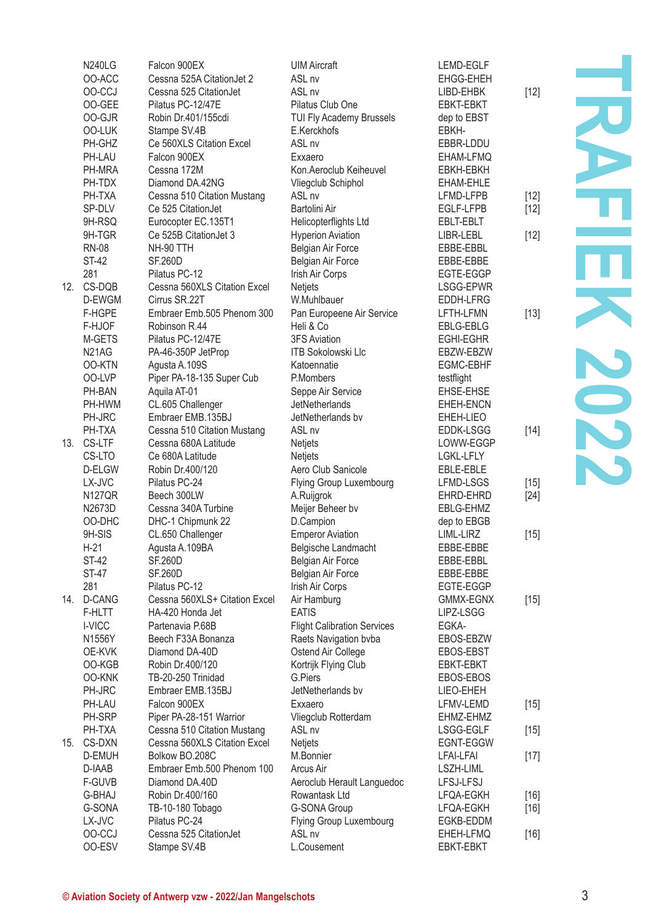| <b>N240LG</b>                  | Falcon 900EX                  | <b>UIM Aircraft</b>                | LEMD-EGLF        |        |     |
|--------------------------------|-------------------------------|------------------------------------|------------------|--------|-----|
| OO-ACC                         | Cessna 525A CitationJet 2     | ASL <sub>nv</sub>                  | EHGG-EHEH        |        |     |
| OO-CCJ                         | Cessna 525 CitationJet        | ASL <sub>nv</sub>                  | LIBD-EHBK        | $[12]$ |     |
| OO-GEE                         | Pilatus PC-12/47E             | Pilatus Club One                   | EBKT-EBKT        |        |     |
| 00-GJR                         | Robin Dr.401/155cdi           | TUI Fly Academy Brussels           | dep to EBST      |        |     |
| <b>OO-LUK</b>                  | Stampe SV.4B                  | E.Kerckhofs                        | EBKH-            |        |     |
| PH-GHZ                         | Ce 560XLS Citation Excel      | ASL nv                             | EBBR-LDDU        |        |     |
| PH-LAU                         | Falcon 900EX                  | Exxaero                            | EHAM-LFMQ        |        |     |
| PH-MRA                         | Cessna 172M                   | Kon.Aeroclub Keiheuvel             | EBKH-EBKH        |        |     |
| PH-TDX                         | Diamond DA.42NG               | Vliegclub Schiphol                 | EHAM-EHLE        |        |     |
| PH-TXA                         | Cessna 510 Citation Mustang   | ASL <sub>nv</sub>                  | LFMD-LFPB        | $[12]$ |     |
| SP-DLV                         | Ce 525 CitationJet            | Bartolini Air                      | EGLF-LFPB        | $[12]$ |     |
| 9H-RSQ                         | Eurocopter EC.135T1           | Helicopterflights Ltd              | EBLT-EBLT        |        |     |
| 9H-TGR                         | Ce 525B CitationJet 3         |                                    |                  |        |     |
|                                | NH-90 TTH                     | <b>Hyperion Aviation</b>           | LIBR-LEBL        | $[12]$ |     |
| <b>RN-08</b>                   |                               | Belgian Air Force                  | EBBE-EBBL        |        |     |
| <b>ST-42</b>                   | <b>SF.260D</b>                | <b>Belgian Air Force</b>           | EBBE-EBBE        |        |     |
| 281                            | Pilatus PC-12                 | Irish Air Corps                    | EGTE-EGGP        |        |     |
| 12. CS-DQB                     | Cessna 560XLS Citation Excel  | Netjets                            | LSGG-EPWR        |        |     |
| D-EWGM                         | Cirrus SR.22T                 | W.Muhlbauer                        | EDDH-LFRG        |        |     |
| F-HGPE                         | Embraer Emb.505 Phenom 300    | Pan Europeene Air Service          | LFTH-LFMN        | [13]   |     |
| F-HJOF                         | Robinson R.44                 | Heli & Co                          | EBLG-EBLG        |        |     |
| M-GETS                         | Pilatus PC-12/47E             | <b>3FS Aviation</b>                | <b>EGHI-EGHR</b> |        |     |
| N <sub>2</sub> 1A <sub>G</sub> | PA-46-350P JetProp            | <b>ITB Sokolowski Llc</b>          | EBZW-EBZW        |        |     |
| 00-KTN                         | Agusta A.109S                 | Katoennatie                        | EGMC-EBHF        |        |     |
| OO-LVP                         | Piper PA-18-135 Super Cub     | P.Mombers                          | testflight       |        | S D |
| PH-BAN                         | Aquila AT-01                  | Seppe Air Service                  | EHSE-EHSE        |        |     |
| PH-HWM                         | CL.605 Challenger             | <b>JetNetherlands</b>              | EHEH-ENCN        |        |     |
| PH-JRC                         | Embraer EMB.135BJ             | JetNetherlands by                  | EHEH-LIEO        |        |     |
| PH-TXA                         | Cessna 510 Citation Mustang   | ASL <sub>nv</sub>                  | <b>EDDK-LSGG</b> | [14]   |     |
| 13. CS-LTF                     | Cessna 680A Latitude          | Netjets                            | LOWW-EGGP        |        |     |
| CS-LTO                         | Ce 680A Latitude              | <b>Netiets</b>                     | LGKL-LFLY        |        |     |
| D-ELGW                         | Robin Dr.400/120              | Aero Club Sanicole                 | EBLE-EBLE        |        |     |
| LX-JVC                         | Pilatus PC-24                 | Flying Group Luxembourg            | LFMD-LSGS        | $[15]$ |     |
| <b>N127QR</b>                  | Beech 300LW                   | A.Ruijgrok                         | EHRD-EHRD        | [24]   |     |
| N2673D                         | Cessna 340A Turbine           | Meijer Beheer bv                   | EBLG-EHMZ        |        |     |
| OO-DHC                         | DHC-1 Chipmunk 22             | D.Campion                          | dep to EBGB      |        |     |
| 9H-SIS                         | CL.650 Challenger             | <b>Emperor Aviation</b>            | LIML-LIRZ        | [15]   |     |
| $H-21$                         | Agusta A.109BA                | Belgische Landmacht                | EBBE-EBBE        |        |     |
| <b>ST-42</b>                   | <b>SF.260D</b>                | Belgian Air Force                  | EBBE-EBBL        |        |     |
| <b>ST-47</b>                   | <b>SF.260D</b>                |                                    | EBBE-EBBE        |        |     |
|                                |                               | Belgian Air Force                  |                  |        |     |
| 281                            | Pilatus PC-12                 | Irish Air Corps                    | EGTE-EGGP        |        |     |
| 14. D-CANG                     | Cessna 560XLS+ Citation Excel | Air Hamburg                        | GMMX-EGNX        | $[15]$ |     |
| F-HLTT                         | HA-420 Honda Jet              | <b>EATIS</b>                       | LIPZ-LSGG        |        |     |
| I-VICC                         | Partenavia P.68B              | <b>Flight Calibration Services</b> | EGKA-            |        |     |
| N1556Y                         | Beech F33A Bonanza            | Raets Navigation bvba              | EBOS-EBZW        |        |     |
| OE-KVK                         | Diamond DA-40D                | Ostend Air College                 | EBOS-EBST        |        |     |
| OO-KGB                         | Robin Dr.400/120              | Kortrijk Flying Club               | <b>EBKT-EBKT</b> |        |     |
| OO-KNK                         | TB-20-250 Trinidad            | G.Piers                            | EBOS-EBOS        |        |     |
| PH-JRC                         | Embraer EMB.135BJ             | JetNetherlands by                  | LIEO-EHEH        |        |     |
| PH-LAU                         | Falcon 900EX                  | Exxaero                            | LFMV-LEMD        | $[15]$ |     |
| PH-SRP                         | Piper PA-28-151 Warrior       | Vliegclub Rotterdam                | EHMZ-EHMZ        |        |     |
| PH-TXA                         | Cessna 510 Citation Mustang   | ASL <sub>nv</sub>                  | LSGG-EGLF        | [15]   |     |
| 15. CS-DXN                     | Cessna 560XLS Citation Excel  | <b>Netjets</b>                     | EGNT-EGGW        |        |     |
| D-EMUH                         | Bolkow BO.208C                | M.Bonnier                          | <b>LFAI-LFAI</b> | $[17]$ |     |
| D-IAAB                         | Embraer Emb.500 Phenom 100    | Arcus Air                          | LSZH-LIML        |        |     |
| F-GUVB                         | Diamond DA.40D                | Aeroclub Herault Languedoc         | LFSJ-LFSJ        |        |     |
| G-BHAJ                         | Robin Dr.400/160              | Rowantask Ltd                      | LFQA-EGKH        | [16]   |     |
| G-SONA                         | TB-10-180 Tobago              | <b>G-SONA Group</b>                | LFQA-EGKH        | [16]   |     |
| LX-JVC                         | Pilatus PC-24                 | Flying Group Luxembourg            | EGKB-EDDM        |        |     |
| OO-CCJ                         | Cessna 525 CitationJet        | ASL <sub>nv</sub>                  | EHEH-LFMQ        | $[16]$ |     |
| 00-ESV                         | Stampe SV.4B                  | L.Cousement                        | EBKT-EBKT        |        |     |
|                                |                               |                                    |                  |        |     |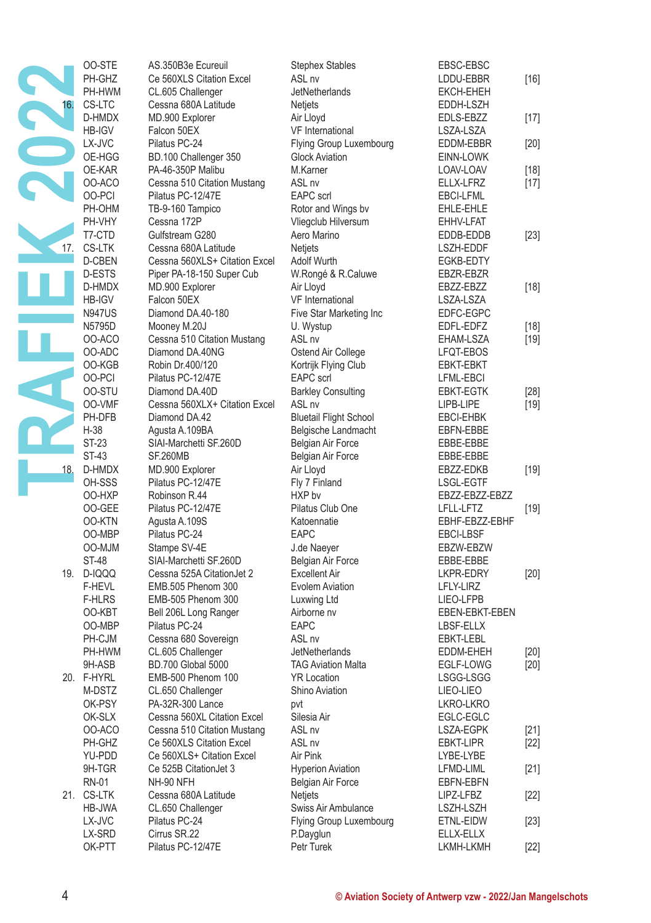|     | 00-STE           | AS.350B3e Ecureuil                        | <b>Stephex Stables</b>                                    | EBSC-EBSC              |        |
|-----|------------------|-------------------------------------------|-----------------------------------------------------------|------------------------|--------|
|     | PH-GHZ           | Ce 560XLS Citation Excel                  | ASL <sub>nv</sub>                                         | LDDU-EBBR              | $[16]$ |
|     | PH-HWM           | CL.605 Challenger                         | JetNetherlands                                            | <b>EKCH-EHEH</b>       |        |
|     | CS-LTC           | Cessna 680A Latitude                      | <b>Netiets</b>                                            | EDDH-LSZH              |        |
|     | D-HMDX           | MD.900 Explorer                           | Air Lloyd                                                 | EDLS-EBZZ              | $[17]$ |
|     | <b>HB-IGV</b>    | Falcon 50EX                               | VF International                                          | LSZA-LSZA              |        |
|     | LX-JVC           | Pilatus PC-24                             | Flying Group Luxembourg                                   | EDDM-EBBR              | [20]   |
|     | OE-HGG           | BD.100 Challenger 350                     | <b>Glock Aviation</b>                                     | EINN-LOWK              |        |
|     | OE-KAR           | PA-46-350P Malibu                         | M.Karner                                                  | LOAV-LOAV              | $[18]$ |
|     | OO-ACO           | Cessna 510 Citation Mustang               | ASL nv                                                    | ELLX-LFRZ              | $[17]$ |
|     | OO-PCI           | Pilatus PC-12/47E                         | <b>EAPC</b> scrl                                          | EBCI-LFML              |        |
|     | PH-OHM           | TB-9-160 Tampico                          | Rotor and Wings bv                                        | EHLE-EHLE              |        |
|     | PH-VHY           | Cessna 172P                               | Vliegclub Hilversum                                       | EHHV-LFAT              |        |
|     | T7-CTD           | Gulfstream G280                           | Aero Marino                                               | EDDB-EDDB              | $[23]$ |
| 17. | <b>CS-LTK</b>    | Cessna 680A Latitude                      | <b>Netjets</b>                                            | LSZH-EDDF              |        |
|     | D-CBEN           | Cessna 560XLS+ Citation Excel             | Adolf Wurth                                               | EGKB-EDTY              |        |
|     | D-ESTS           | Piper PA-18-150 Super Cub                 | W.Rongé & R.Caluwe                                        | EBZR-EBZR              |        |
|     | D-HMDX           | MD.900 Explorer                           | Air Lloyd                                                 | EBZZ-EBZZ              | $[18]$ |
|     | HB-IGV           | Falcon 50EX                               | <b>VF</b> International                                   | LSZA-LSZA              |        |
|     | <b>N947US</b>    | Diamond DA.40-180                         | Five Star Marketing Inc                                   | EDFC-EGPC              |        |
|     | N5795D           | Mooney M.20J                              | U. Wystup                                                 | EDFL-EDFZ              | $[18]$ |
|     | OO-ACO           | Cessna 510 Citation Mustang               | ASL nv                                                    | EHAM-LSZA              | [19]   |
|     | OO-ADC           | Diamond DA.40NG                           | Ostend Air College                                        | LFQT-EBOS              |        |
|     | OO-KGB           | Robin Dr.400/120                          | Kortrijk Flying Club                                      | <b>EBKT-EBKT</b>       |        |
|     | 00-PCI           | Pilatus PC-12/47E                         | <b>EAPC</b> scrl                                          | LFML-EBCI              |        |
|     | 00-STU           | Diamond DA.40D                            | <b>Barkley Consulting</b>                                 | EBKT-EGTK              | $[28]$ |
|     | OO-VMF           | Cessna 560XLX+ Citation Excel             | ASL <sub>nv</sub>                                         | LIPB-LIPE              | [19]   |
|     | PH-DFB           | Diamond DA.42                             | <b>Bluetail Flight School</b>                             | EBCI-EHBK              |        |
|     | $H-38$           | Agusta A.109BA                            | Belgische Landmacht                                       | EBFN-EBBE              |        |
|     | ST-23<br>ST-43   | SIAI-Marchetti SF.260D<br><b>SF.260MB</b> | Belgian Air Force                                         | EBBE-EBBE              |        |
|     | D-HMDX           |                                           | Belgian Air Force                                         | EBBE-EBBE<br>EBZZ-EDKB |        |
| 18. | OH-SSS           | MD.900 Explorer<br>Pilatus PC-12/47E      | Air Lloyd<br>Fly 7 Finland                                | LSGL-EGTF              | $[19]$ |
|     | OO-HXP           | Robinson R.44                             | HXP by                                                    | EBZZ-EBZZ-EBZZ         |        |
|     | OO-GEE           | Pilatus PC-12/47E                         | Pilatus Club One                                          | LFLL-LFTZ              | $[19]$ |
|     | 00-KTN           | Agusta A.109S                             | Katoennatie                                               | EBHF-EBZZ-EBHF         |        |
|     | OO-MBP           | Pilatus PC-24                             | <b>EAPC</b>                                               | <b>EBCI-LBSF</b>       |        |
|     | OO-MJM           | Stampe SV-4E                              | J.de Naeyer                                               | EBZW-EBZW              |        |
|     | ST-48            | SIAI-Marchetti SF.260D                    | Belgian Air Force                                         | EBBE-EBBE              |        |
|     | 19. D-IQQQ       | Cessna 525A CitationJet 2                 | <b>Excellent Air</b>                                      | LKPR-EDRY              | $[20]$ |
|     | F-HEVL           | EMB.505 Phenom 300                        | Evolem Aviation                                           | LFLY-LIRZ              |        |
|     | <b>F-HLRS</b>    | EMB-505 Phenom 300                        | Luxwing Ltd                                               | LIEO-LFPB              |        |
|     | OO-KBT           | Bell 206L Long Ranger                     | Airborne nv                                               | EBEN-EBKT-EBEN         |        |
|     | OO-MBP           | Pilatus PC-24                             | <b>EAPC</b>                                               | LBSF-ELLX              |        |
|     | PH-CJM           | Cessna 680 Sovereign                      | ASL nv                                                    | EBKT-LEBL              |        |
|     | PH-HWM           | CL.605 Challenger                         | <b>JetNetherlands</b>                                     | EDDM-EHEH              | $[20]$ |
|     | 9H-ASB           | <b>BD.700 Global 5000</b>                 | <b>TAG Aviation Malta</b>                                 | EGLF-LOWG              | [20]   |
|     | 20. F-HYRL       | EMB-500 Phenom 100                        | <b>YR Location</b>                                        | LSGG-LSGG              |        |
|     | M-DSTZ           | CL.650 Challenger                         | Shino Aviation                                            | LIEO-LIEO              |        |
|     | OK-PSY           | PA-32R-300 Lance                          | pvt                                                       | LKRO-LKRO              |        |
|     | OK-SLX           | Cessna 560XL Citation Excel               | Silesia Air                                               | EGLC-EGLC              |        |
|     | OO-ACO           | Cessna 510 Citation Mustang               | ASL <sub>nv</sub>                                         | LSZA-EGPK              | $[21]$ |
|     | PH-GHZ           | Ce 560XLS Citation Excel                  | ASL <sub>nv</sub>                                         | <b>EBKT-LIPR</b>       | $[22]$ |
|     | YU-PDD           | Ce 560XLS+ Citation Excel                 | Air Pink                                                  | LYBE-LYBE              |        |
|     | 9H-TGR           | Ce 525B CitationJet 3                     | <b>Hyperion Aviation</b>                                  | LFMD-LIML              | [21]   |
|     | RN-01            | NH-90 NFH                                 | Belgian Air Force                                         | EBFN-EBFN              |        |
|     | 21. CS-LTK       | Cessna 680A Latitude                      | Netjets                                                   | LIPZ-LFBZ              | $[22]$ |
|     | HB-JWA           | CL.650 Challenger                         | Swiss Air Ambulance<br>Flying Group Luxembourg            | LSZH-LSZH              |        |
|     | LX-JVC<br>LX-SRD | Pilatus PC-24<br>Cirrus SR.22             |                                                           | ETNL-EIDW              | $[23]$ |
|     | OK-PTT           | Pilatus PC-12/47E                         | P.Dayglun<br>Petr Turek                                   | ELLX-ELLX<br>LKMH-LKMH | $[22]$ |
|     |                  |                                           |                                                           |                        |        |
|     |                  |                                           |                                                           |                        |        |
|     |                  |                                           |                                                           |                        |        |
| 4   |                  |                                           | © Aviation Society of Antwerp vzw - 2022/Jan Mangelschots |                        |        |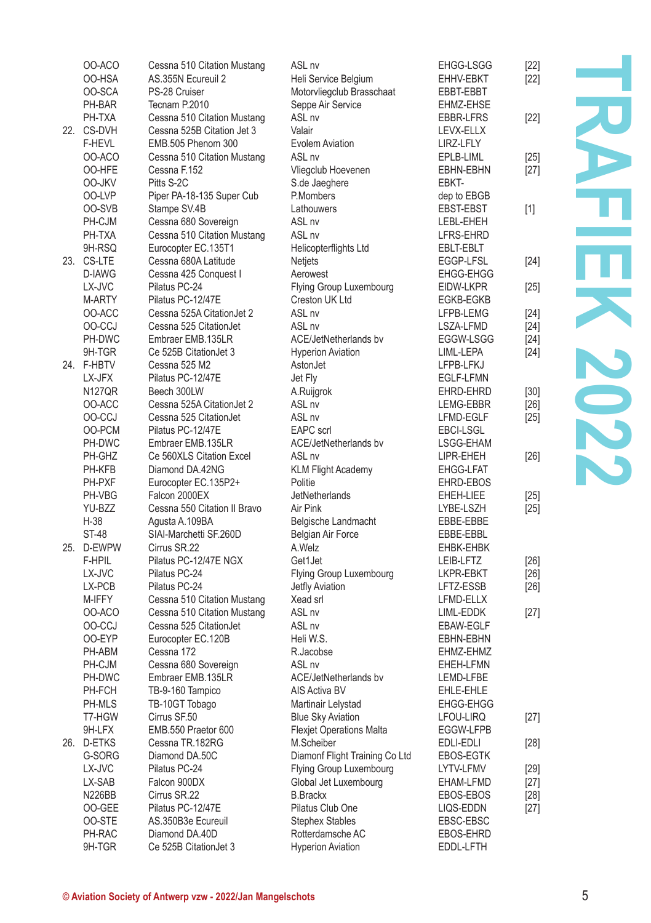| OO-ACO<br>OO-HSA     | Cessna 510 Citation Mustang<br>AS.355N Ecureuil 2         | ASL <sub>nv</sub><br>Heli Service Belgium         | <b>EHGG-LSGG</b><br>EHHV-EBKT | $[22]$<br>[22] |  |
|----------------------|-----------------------------------------------------------|---------------------------------------------------|-------------------------------|----------------|--|
| OO-SCA<br>PH-BAR     | PS-28 Cruiser<br>Tecnam P.2010                            | Motorvliegclub Brasschaat<br>Seppe Air Service    | EBBT-EBBT<br>EHMZ-EHSE        |                |  |
| PH-TXA<br>22. CS-DVH | Cessna 510 Citation Mustang<br>Cessna 525B Citation Jet 3 | ASL <sub>nv</sub><br>Valair                       | EBBR-LFRS<br>LEVX-ELLX        | [22]           |  |
| F-HEVL               | EMB.505 Phenom 300                                        | Evolem Aviation                                   | LIRZ-LFLY                     |                |  |
| OO-ACO               | Cessna 510 Citation Mustang                               | ASL <sub>nv</sub>                                 | EPLB-LIML                     | [25]           |  |
| 00-HFE<br>OO-JKV     | Cessna F.152<br>Pitts S-2C                                | Vliegclub Hoevenen<br>S.de Jaeghere               | EBHN-EBHN<br>EBKT-            | $[27]$         |  |
| OO-LVP               | Piper PA-18-135 Super Cub                                 | P.Mombers                                         | dep to EBGB                   |                |  |
| OO-SVB               | Stampe SV.4B                                              | Lathouwers                                        | EBST-EBST                     | $[1]$          |  |
| PH-CJM               | Cessna 680 Sovereign                                      | ASL <sub>nv</sub>                                 | LEBL-EHEH                     |                |  |
| PH-TXA               | Cessna 510 Citation Mustang                               | ASL <sub>nv</sub>                                 | LFRS-EHRD                     |                |  |
| 9H-RSQ               | Eurocopter EC.135T1                                       | Helicopterflights Ltd                             | EBLT-EBLT                     |                |  |
| 23. CS-LTE           | Cessna 680A Latitude                                      | Netjets                                           | EGGP-LFSL                     | $[24]$         |  |
| D-IAWG               | Cessna 425 Conquest I                                     | Aerowest                                          | EHGG-EHGG                     |                |  |
| LX-JVC               | Pilatus PC-24                                             | Flying Group Luxembourg                           | EIDW-LKPR                     | [25]           |  |
| M-ARTY               | Pilatus PC-12/47E                                         | Creston UK Ltd                                    | <b>EGKB-EGKB</b>              |                |  |
| OO-ACC               | Cessna 525A CitationJet 2                                 | ASL <sub>nv</sub>                                 | LFPB-LEMG                     | $[24]$         |  |
| OO-CCJ               | Cessna 525 CitationJet                                    | ASL <sub>nv</sub>                                 | LSZA-LFMD                     | [24]           |  |
| PH-DWC<br>9H-TGR     | Embraer EMB.135LR<br>Ce 525B CitationJet 3                | ACE/JetNetherlands by<br><b>Hyperion Aviation</b> | EGGW-LSGG<br>LIML-LEPA        | $[24]$<br>[24] |  |
| 24. F-HBTV           | Cessna 525 M2                                             | AstonJet                                          | LFPB-LFKJ                     |                |  |
| LX-JFX               | Pilatus PC-12/47E                                         | Jet Fly                                           | EGLF-LFMN                     |                |  |
| <b>N127QR</b>        | Beech 300LW                                               | A.Ruijgrok                                        | EHRD-EHRD                     | $[30]$         |  |
| OO-ACC               | Cessna 525A CitationJet 2                                 | ASL <sub>nv</sub>                                 | LEMG-EBBR                     | $[26]$         |  |
| OO-CCJ               | Cessna 525 CitationJet                                    | ASL nv                                            | LFMD-EGLF                     | $[25]$         |  |
| OO-PCM               | Pilatus PC-12/47E                                         | <b>EAPC</b> scrl                                  | <b>EBCI-LSGL</b>              |                |  |
| PH-DWC               | Embraer EMB.135LR                                         | <b>ACE/JetNetherlands by</b>                      | LSGG-EHAM                     |                |  |
| PH-GHZ               | Ce 560XLS Citation Excel                                  | ASL <sub>nv</sub>                                 | LIPR-EHEH                     | [26]           |  |
| PH-KFB               | Diamond DA.42NG                                           | <b>KLM Flight Academy</b>                         | <b>EHGG-LFAT</b>              |                |  |
| PH-PXF               | Eurocopter EC.135P2+                                      | Politie                                           | EHRD-EBOS                     |                |  |
| PH-VBG               | Falcon 2000EX<br>Cessna 550 Citation II Bravo             | JetNetherlands<br>Air Pink                        | EHEH-LIEE                     | [25]           |  |
| YU-BZZ<br>$H-38$     | Agusta A.109BA                                            | Belgische Landmacht                               | LYBE-LSZH<br>EBBE-EBBE        | $[25]$         |  |
| <b>ST-48</b>         | SIAI-Marchetti SF.260D                                    | Belgian Air Force                                 | EBBE-EBBL                     |                |  |
| 25. D-EWPW           | Cirrus SR.22                                              | A.Welz                                            | EHBK-EHBK                     |                |  |
| F-HPIL               | Pilatus PC-12/47E NGX                                     | Get1Jet                                           | LEIB-LFTZ                     | [26]           |  |
| LX-JVC               | Pilatus PC-24                                             | Flying Group Luxembourg                           | LKPR-EBKT                     | $[26]$         |  |
| LX-PCB               | Pilatus PC-24                                             | Jetfly Aviation                                   | LFTZ-ESSB                     | $[26]$         |  |
| M-IFFY               | Cessna 510 Citation Mustang                               | Xead srl                                          | LFMD-ELLX                     |                |  |
| OO-ACO               | Cessna 510 Citation Mustang                               | ASL <sub>nv</sub>                                 | LIML-EDDK                     | [27]           |  |
| OO-CCJ               | Cessna 525 CitationJet                                    | ASL <sub>nv</sub>                                 | EBAW-EGLF                     |                |  |
| OO-EYP               | Eurocopter EC.120B                                        | Heli W.S.                                         | EBHN-EBHN                     |                |  |
| PH-ABM<br>PH-CJM     | Cessna 172                                                | R.Jacobse<br>ASL nv                               | EHMZ-EHMZ<br>EHEH-LFMN        |                |  |
| PH-DWC               | Cessna 680 Sovereign<br>Embraer EMB.135LR                 | ACE/JetNetherlands bv                             | LEMD-LFBE                     |                |  |
| PH-FCH               | TB-9-160 Tampico                                          | AIS Activa BV                                     | EHLE-EHLE                     |                |  |
| PH-MLS               | TB-10GT Tobago                                            | Martinair Lelystad                                | EHGG-EHGG                     |                |  |
| T7-HGW               | Cirrus SF.50                                              | <b>Blue Sky Aviation</b>                          | LFOU-LIRQ                     | [27]           |  |
| 9H-LFX               | EMB.550 Praetor 600                                       | <b>Flexjet Operations Malta</b>                   | EGGW-LFPB                     |                |  |
| 26. D-ETKS           | Cessna TR.182RG                                           | M.Scheiber                                        | EDLI-EDLI                     | $[28]$         |  |
| G-SORG               | Diamond DA.50C                                            | Diamonf Flight Training Co Ltd                    | EBOS-EGTK                     |                |  |
| LX-JVC               | Pilatus PC-24                                             | Flying Group Luxembourg                           | LYTV-LFMV                     | [29]           |  |
| LX-SAB               | Falcon 900DX                                              | Global Jet Luxembourg                             | EHAM-LFMD                     | $[27]$         |  |
| <b>N226BB</b>        | Cirrus SR.22                                              | <b>B.Brackx</b>                                   | EBOS-EBOS                     | $[28]$         |  |
| OO-GEE               | Pilatus PC-12/47E                                         | Pilatus Club One                                  | LIQS-EDDN                     | $[27]$         |  |
| 00-STE               | AS.350B3e Ecureuil                                        | <b>Stephex Stables</b>                            | EBSC-EBSC                     |                |  |
| PH-RAC               | Diamond DA.40D                                            | Rotterdamsche AC                                  | <b>EBOS-EHRD</b>              |                |  |
| 9H-TGR               | Ce 525B CitationJet 3                                     | <b>Hyperion Aviation</b>                          | EDDL-LFTH                     |                |  |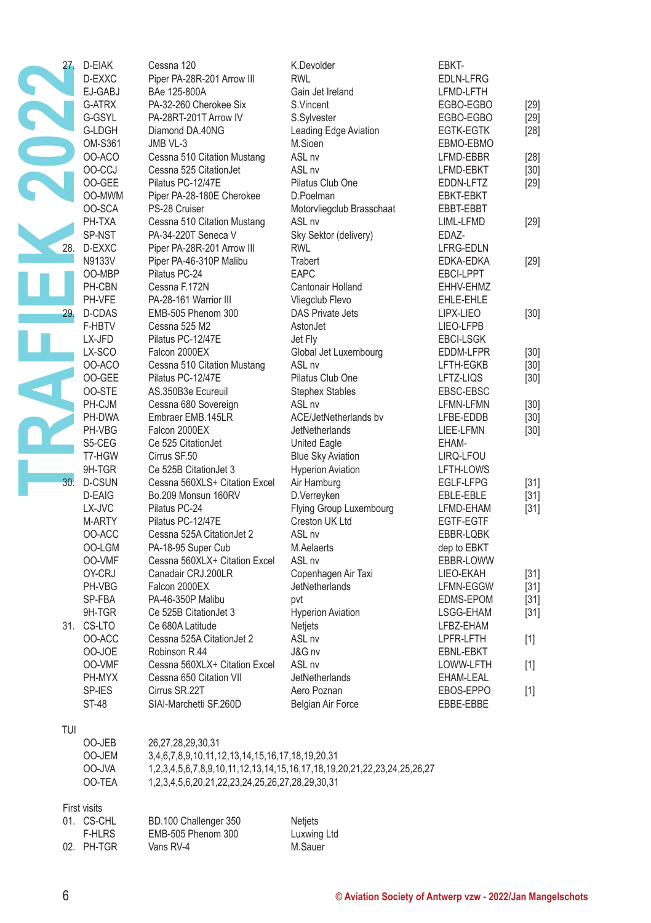| 27. | D-EIAK        | Cessna 120                                      | K.Devolder                                                              | EBKT-                  |        |
|-----|---------------|-------------------------------------------------|-------------------------------------------------------------------------|------------------------|--------|
|     | D-EXXC        | Piper PA-28R-201 Arrow III                      | <b>RWL</b>                                                              | <b>EDLN-LFRG</b>       |        |
|     | EJ-GABJ       | BAe 125-800A                                    | Gain Jet Ireland                                                        | LFMD-LFTH              |        |
|     | G-ATRX        | PA-32-260 Cherokee Six                          | S.Vincent                                                               | EGBO-EGBO              |        |
|     | G-GSYL        | PA-28RT-201T Arrow IV                           |                                                                         |                        | [29]   |
|     | G-LDGH        | Diamond DA.40NG                                 | S.Sylvester                                                             | EGBO-EGBO              | [29]   |
|     | OM-S361       |                                                 | Leading Edge Aviation<br>M.Sioen                                        | EGTK-EGTK              | [28]   |
|     | OO-ACO        | JMB VL-3<br>Cessna 510 Citation Mustang         | ASL <sub>nv</sub>                                                       | EBMO-EBMO<br>LFMD-EBBR |        |
|     | OO-CCJ        | Cessna 525 CitationJet                          | ASL <sub>nv</sub>                                                       |                        | $[28]$ |
|     | OO-GEE        | Pilatus PC-12/47E                               | Pilatus Club One                                                        | LFMD-EBKT              | $[30]$ |
|     | OO-MWM        | Piper PA-28-180E Cherokee                       | D.Poelman                                                               | EDDN-LFTZ              | [29]   |
|     | OO-SCA        | PS-28 Cruiser                                   | Motorvliegclub Brasschaat                                               | EBKT-EBKT<br>EBBT-EBBT |        |
|     | PH-TXA        | Cessna 510 Citation Mustang                     | ASL nv                                                                  | LIML-LFMD              | $[29]$ |
|     | SP-NST        | PA-34-220T Seneca V                             | Sky Sektor (delivery)                                                   | EDAZ-                  |        |
| 28. | D-EXXC        | Piper PA-28R-201 Arrow III                      | <b>RWL</b>                                                              | LFRG-EDLN              |        |
|     | N9133V        | Piper PA-46-310P Malibu                         | Trabert                                                                 | EDKA-EDKA              | $[29]$ |
|     | OO-MBP        | Pilatus PC-24                                   | <b>EAPC</b>                                                             | EBCI-LPPT              |        |
|     | PH-CBN        | Cessna F.172N                                   | Cantonair Holland                                                       | EHHV-EHMZ              |        |
|     | PH-VFE        | PA-28-161 Warrior III                           | Vliegclub Flevo                                                         | EHLE-EHLE              |        |
| 29. | D-CDAS        | EMB-505 Phenom 300                              | <b>DAS Private Jets</b>                                                 | LIPX-LIEO              | $[30]$ |
|     | F-HBTV        | Cessna 525 M2                                   | AstonJet                                                                | LIEO-LFPB              |        |
|     | LX-JFD        | Pilatus PC-12/47E                               | Jet Fly                                                                 | <b>EBCI-LSGK</b>       |        |
|     | LX-SCO        | Falcon 2000EX                                   | Global Jet Luxembourg                                                   | EDDM-LFPR              | $[30]$ |
|     | OO-ACO        | Cessna 510 Citation Mustang                     | ASL <sub>nv</sub>                                                       | LFTH-EGKB              | $[30]$ |
|     | OO-GEE        | Pilatus PC-12/47E                               | Pilatus Club One                                                        | LFTZ-LIQS              | $[30]$ |
|     | 00-STE        | AS.350B3e Ecureuil                              | <b>Stephex Stables</b>                                                  | EBSC-EBSC              |        |
|     | PH-CJM        | Cessna 680 Sovereign                            | ASL nv                                                                  | LFMN-LFMN              | $[30]$ |
|     | PH-DWA        | Embraer EMB.145LR                               | ACE/JetNetherlands bv                                                   | LFBE-EDDB              | $[30]$ |
|     | PH-VBG        | Falcon 2000EX                                   | <b>JetNetherlands</b>                                                   | LIEE-LFMN              | $[30]$ |
|     | S5-CEG        | Ce 525 CitationJet                              | United Eagle                                                            | EHAM-                  |        |
|     | T7-HGW        | Cirrus SF.50                                    | <b>Blue Sky Aviation</b>                                                | LIRQ-LFOU              |        |
|     | 9H-TGR        | Ce 525B CitationJet 3                           | <b>Hyperion Aviation</b>                                                | LFTH-LOWS              |        |
| 30. | <b>D-CSUN</b> | Cessna 560XLS+ Citation Excel                   | Air Hamburg                                                             | EGLF-LFPG              | $[31]$ |
|     | D-EAIG        | Bo.209 Monsun 160RV                             | D.Verreyken                                                             | EBLE-EBLE              | [31]   |
|     | LX-JVC        | Pilatus PC-24                                   | Flying Group Luxembourg                                                 | LFMD-EHAM              | [31]   |
|     | M-ARTY        | Pilatus PC-12/47E                               | Creston UK Ltd                                                          | EGTF-EGTF              |        |
|     | OO-ACC        | Cessna 525A CitationJet 2                       | ASL <sub>nv</sub>                                                       | EBBR-LQBK              |        |
|     | OO-LGM        | PA-18-95 Super Cub                              | M.Aelaerts                                                              | dep to EBKT            |        |
|     | OO-VMF        | Cessna 560XLX+ Citation Excel                   | ASL <sub>nv</sub>                                                       | EBBR-LOWW              |        |
|     | OY-CRJ        | Canadair CRJ.200LR                              | Copenhagen Air Taxi                                                     | LIEO-EKAH              | $[31]$ |
|     | PH-VBG        | Falcon 2000EX                                   | <b>JetNetherlands</b>                                                   | LFMN-EGGW              | $[31]$ |
|     | SP-FBA        | PA-46-350P Malibu                               | pvt                                                                     | EDMS-EPOM              | $[31]$ |
|     | 9H-TGR        | Ce 525B Citation Jet 3                          | <b>Hyperion Aviation</b>                                                | LSGG-EHAM              | $[31]$ |
|     | 31. CS-LTO    | Ce 680A Latitude                                | Netjets                                                                 | LFBZ-EHAM              |        |
|     | OO-ACC        | Cessna 525A CitationJet 2                       | ASL nv                                                                  | LPFR-LFTH              | $[1]$  |
|     | 00-JOE        | Robinson R.44                                   | J&G nv                                                                  | EBNL-EBKT              |        |
|     | OO-VMF        | Cessna 560XLX+ Citation Excel                   | ASL nv                                                                  | LOWW-LFTH              | $[1]$  |
|     | PH-MYX        | Cessna 650 Citation VII                         | <b>JetNetherlands</b>                                                   | EHAM-LEAL              |        |
|     | SP-IES        | Cirrus SR.22T                                   | Aero Poznan                                                             | EBOS-EPPO              | $[1]$  |
|     | ST-48         | SIAI-Marchetti SF.260D                          | Belgian Air Force                                                       | EBBE-EBBE              |        |
|     |               |                                                 |                                                                         |                        |        |
| TUI |               |                                                 |                                                                         |                        |        |
|     | OO-JEB        | 26,27,28,29,30,31                               |                                                                         |                        |        |
|     | OO-JEM        | 3,4,6,7,8,9,10,11,12,13,14,15,16,17,18,19,20,31 |                                                                         |                        |        |
|     | OO-JVA        |                                                 | 1,2,3,4,5,6,7,8,9,10,11,12,13,14,15,16,17,18,19,20,21,22,23,24,25,26,27 |                        |        |
|     | OO-TEA        | 1,2,3,4,5,6,20,21,22,23,24,25,26,27,28,29,30,31 |                                                                         |                        |        |
|     |               |                                                 |                                                                         |                        |        |
|     | First visits  |                                                 |                                                                         |                        |        |
|     | 01. CS-CHL    | BD.100 Challenger 350                           | Netjets                                                                 |                        |        |
|     | <b>F-HLRS</b> | EMB-505 Phenom 300                              | Luxwing Ltd                                                             |                        |        |
|     | 02. PH-TGR    | Vans RV-4                                       | M.Sauer                                                                 |                        |        |
|     |               |                                                 |                                                                         |                        |        |
|     |               |                                                 |                                                                         |                        |        |
| 6   |               |                                                 | © Aviation Society of Antwerp vzw - 2022/Jan Mangelschots               |                        |        |
|     |               |                                                 |                                                                         |                        |        |

| 01. CS-CHL | BD.100 Challenger 350 | <b>Netjets</b> |
|------------|-----------------------|----------------|
| F-HLRS     | EMB-505 Phenom 300    | Luxwing Ltd    |
| 02. PH-TGR | Vans RV-4             | M.Sauer        |